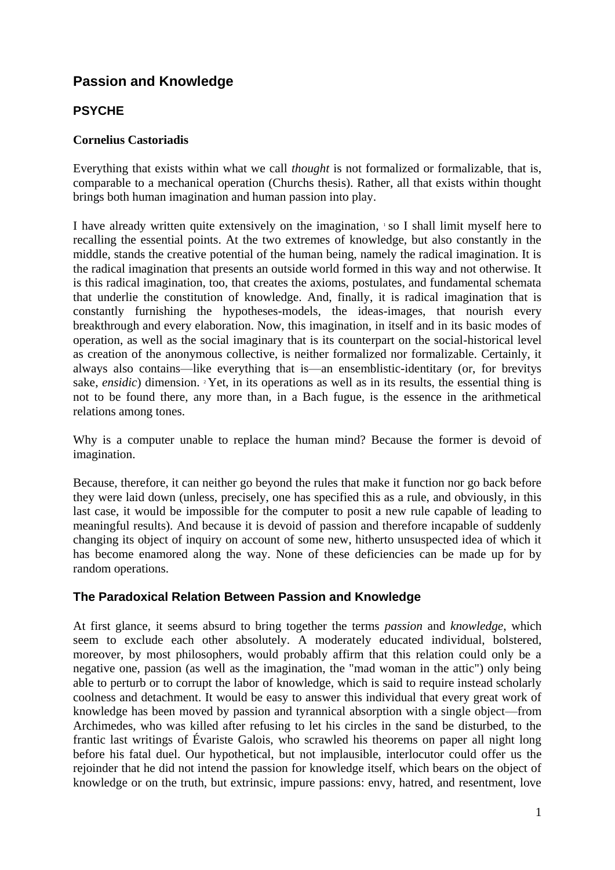# **Passion and Knowledge**

# **PSYCHE**

#### **Cornelius Castoriadis**

Everything that exists within what we call *thought* is not formalized or formalizable, that is, comparable to a mechanical operation (Churchs thesis). Rather, all that exists within thought brings both human imagination and human passion into play.

I have already written quite extensively on the imagination, so I shall limit myself here to recalling the essential points. At the two extremes of knowledge, but also constantly in the middle, stands the creative potential of the human being, namely the radical imagination. It is the radical imagination that presents an outside world formed in this way and not otherwise. It is this radical imagination, too, that creates the axioms, postulates, and fundamental schemata that underlie the constitution of knowledge. And, finally, it is radical imagination that is constantly furnishing the hypotheses-models, the ideas-images, that nourish every breakthrough and every elaboration. Now, this imagination, in itself and in its basic modes of operation, as well as the social imaginary that is its counterpart on the social-historical level as creation of the anonymous collective, is neither formalized nor formalizable. Certainly, it always also contains—like everything that is—an ensemblistic-identitary (or, for brevitys sake, *ensidic*) dimension. <sup>2</sup> Yet, in its operations as well as in its results, the essential thing is not to be found there, any more than, in a Bach fugue, is the essence in the arithmetical relations among tones.

Why is a computer unable to replace the human mind? Because the former is devoid of imagination.

Because, therefore, it can neither go beyond the rules that make it function nor go back before they were laid down (unless, precisely, one has specified this as a rule, and obviously, in this last case, it would be impossible for the computer to posit a new rule capable of leading to meaningful results). And because it is devoid of passion and therefore incapable of suddenly changing its object of inquiry on account of some new, hitherto unsuspected idea of which it has become enamored along the way. None of these deficiencies can be made up for by random operations.

# **The Paradoxical Relation Between Passion and Knowledge**

At first glance, it seems absurd to bring together the terms *passion* and *knowledge*, which seem to exclude each other absolutely. A moderately educated individual, bolstered, moreover, by most philosophers, would probably affirm that this relation could only be a negative one, passion (as well as the imagination, the "mad woman in the attic") only being able to perturb or to corrupt the labor of knowledge, which is said to require instead scholarly coolness and detachment. It would be easy to answer this individual that every great work of knowledge has been moved by passion and tyrannical absorption with a single object—from Archimedes, who was killed after refusing to let his circles in the sand be disturbed, to the frantic last writings of Évariste Galois, who scrawled his theorems on paper all night long before his fatal duel. Our hypothetical, but not implausible, interlocutor could offer us the rejoinder that he did not intend the passion for knowledge itself, which bears on the object of knowledge or on the truth, but extrinsic, impure passions: envy, hatred, and resentment, love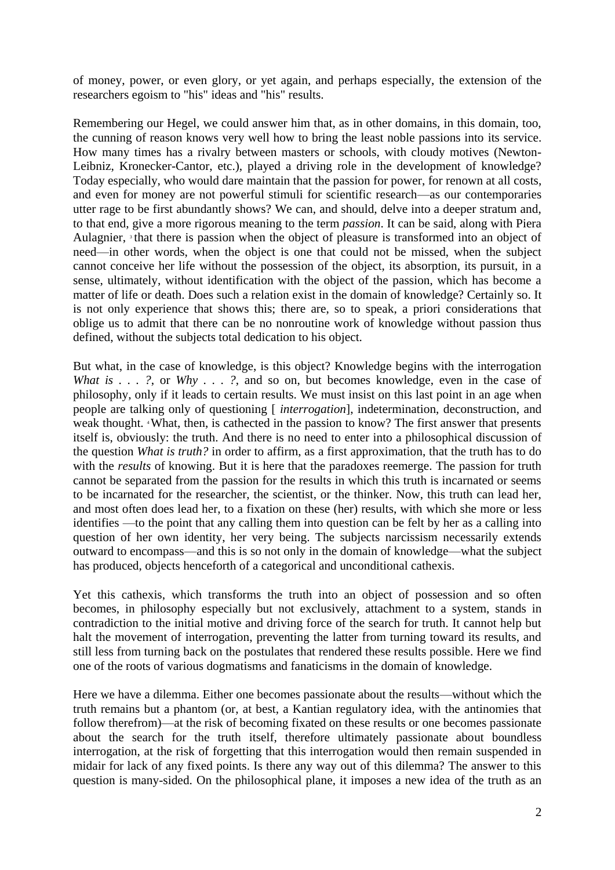of money, power, or even glory, or yet again, and perhaps especially, the extension of the researchers egoism to "his" ideas and "his" results.

Remembering our Hegel, we could answer him that, as in other domains, in this domain, too, the cunning of reason knows very well how to bring the least noble passions into its service. How many times has a rivalry between masters or schools, with cloudy motives (Newton-Leibniz, Kronecker-Cantor, etc.), played a driving role in the development of knowledge? Today especially, who would dare maintain that the passion for power, for renown at all costs, and even for money are not powerful stimuli for scientific research—as our contemporaries utter rage to be first abundantly shows? We can, and should, delve into a deeper stratum and, to that end, give a more rigorous meaning to the term *passion*. It can be said, along with Piera Aulagnier, <sup>3</sup> that there is passion when the object of pleasure is transformed into an object of need—in other words, when the object is one that could not be missed, when the subject cannot conceive her life without the possession of the object, its absorption, its pursuit, in a sense, ultimately, without identification with the object of the passion, which has become a matter of life or death. Does such a relation exist in the domain of knowledge? Certainly so. It is not only experience that shows this; there are, so to speak, a priori considerations that oblige us to admit that there can be no nonroutine work of knowledge without passion thus defined, without the subjects total dedication to his object.

But what, in the case of knowledge, is this object? Knowledge begins with the interrogation *What is . . . ?*, or *Why . . . ?*, and so on, but becomes knowledge, even in the case of philosophy, only if it leads to certain results. We must insist on this last point in an age when people are talking only of questioning [ *interrogation*], indetermination, deconstruction, and weak thought. <sup>4</sup> What, then, is cathected in the passion to know? The first answer that presents itself is, obviously: the truth. And there is no need to enter into a philosophical discussion of the question *What is truth?* in order to affirm, as a first approximation, that the truth has to do with the *results* of knowing. But it is here that the paradoxes reemerge. The passion for truth cannot be separated from the passion for the results in which this truth is incarnated or seems to be incarnated for the researcher, the scientist, or the thinker. Now, this truth can lead her, and most often does lead her, to a fixation on these (her) results, with which she more or less identifies —to the point that any calling them into question can be felt by her as a calling into question of her own identity, her very being. The subjects narcissism necessarily extends outward to encompass—and this is so not only in the domain of knowledge—what the subject has produced, objects henceforth of a categorical and unconditional cathexis.

Yet this cathexis, which transforms the truth into an object of possession and so often becomes, in philosophy especially but not exclusively, attachment to a system, stands in contradiction to the initial motive and driving force of the search for truth. It cannot help but halt the movement of interrogation, preventing the latter from turning toward its results, and still less from turning back on the postulates that rendered these results possible. Here we find one of the roots of various dogmatisms and fanaticisms in the domain of knowledge.

Here we have a dilemma. Either one becomes passionate about the results—without which the truth remains but a phantom (or, at best, a Kantian regulatory idea, with the antinomies that follow therefrom)—at the risk of becoming fixated on these results or one becomes passionate about the search for the truth itself, therefore ultimately passionate about boundless interrogation, at the risk of forgetting that this interrogation would then remain suspended in midair for lack of any fixed points. Is there any way out of this dilemma? The answer to this question is many-sided. On the philosophical plane, it imposes a new idea of the truth as an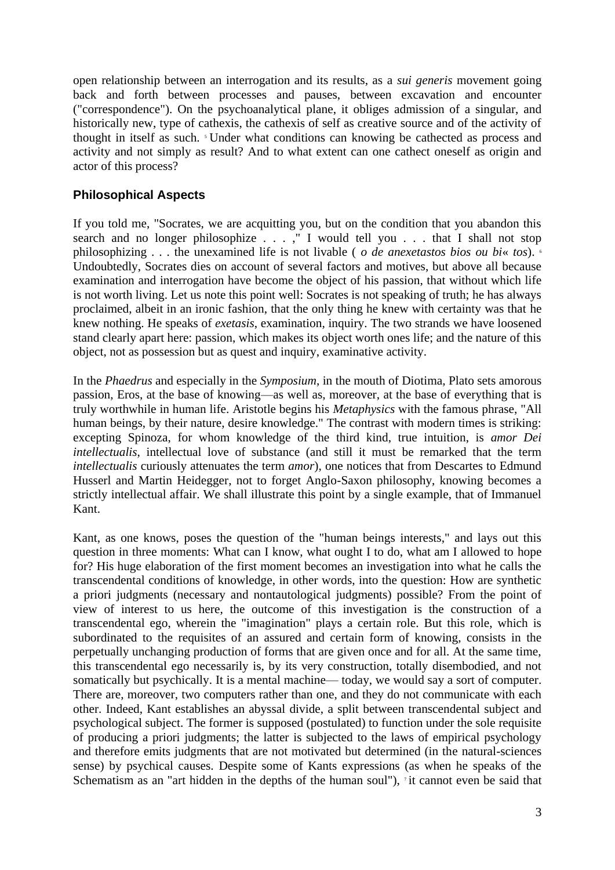open relationship between an interrogation and its results, as a *sui generis* movement going back and forth between processes and pauses, between excavation and encounter ("correspondence"). On the psychoanalytical plane, it obliges admission of a singular, and historically new, type of cathexis, the cathexis of self as creative source and of the activity of thought in itself as such. 5 Under what conditions can knowing be cathected as process and activity and not simply as result? And to what extent can one cathect oneself as origin and actor of this process?

#### **Philosophical Aspects**

If you told me, "Socrates, we are acquitting you, but on the condition that you abandon this search and no longer philosophize . . . ," I would tell you . . . that I shall not stop philosophizing . . . the unexamined life is not livable ( *o de anexetastos bios ou bi*« *tos*). <sup>6</sup> Undoubtedly, Socrates dies on account of several factors and motives, but above all because examination and interrogation have become the object of his passion, that without which life is not worth living. Let us note this point well: Socrates is not speaking of truth; he has always proclaimed, albeit in an ironic fashion, that the only thing he knew with certainty was that he knew nothing. He speaks of *exetasis*, examination, inquiry. The two strands we have loosened stand clearly apart here: passion, which makes its object worth ones life; and the nature of this object, not as possession but as quest and inquiry, examinative activity.

In the *Phaedrus* and especially in the *Symposium*, in the mouth of Diotima, Plato sets amorous passion, Eros, at the base of knowing—as well as, moreover, at the base of everything that is truly worthwhile in human life. Aristotle begins his *Metaphysics* with the famous phrase, "All human beings, by their nature, desire knowledge." The contrast with modern times is striking: excepting Spinoza, for whom knowledge of the third kind, true intuition, is *amor Dei intellectualis*, intellectual love of substance (and still it must be remarked that the term *intellectualis* curiously attenuates the term *amor*), one notices that from Descartes to Edmund Husserl and Martin Heidegger, not to forget Anglo-Saxon philosophy, knowing becomes a strictly intellectual affair. We shall illustrate this point by a single example, that of Immanuel Kant.

Kant, as one knows, poses the question of the "human beings interests," and lays out this question in three moments: What can I know, what ought I to do, what am I allowed to hope for? His huge elaboration of the first moment becomes an investigation into what he calls the transcendental conditions of knowledge, in other words, into the question: How are synthetic a priori judgments (necessary and nontautological judgments) possible? From the point of view of interest to us here, the outcome of this investigation is the construction of a transcendental ego, wherein the "imagination" plays a certain role. But this role, which is subordinated to the requisites of an assured and certain form of knowing, consists in the perpetually unchanging production of forms that are given once and for all. At the same time, this transcendental ego necessarily is, by its very construction, totally disembodied, and not somatically but psychically. It is a mental machine— today, we would say a sort of computer. There are, moreover, two computers rather than one, and they do not communicate with each other. Indeed, Kant establishes an abyssal divide, a split between transcendental subject and psychological subject. The former is supposed (postulated) to function under the sole requisite of producing a priori judgments; the latter is subjected to the laws of empirical psychology and therefore emits judgments that are not motivated but determined (in the natural-sciences sense) by psychical causes. Despite some of Kants expressions (as when he speaks of the Schematism as an "art hidden in the depths of the human soul"),  $\alpha$  it cannot even be said that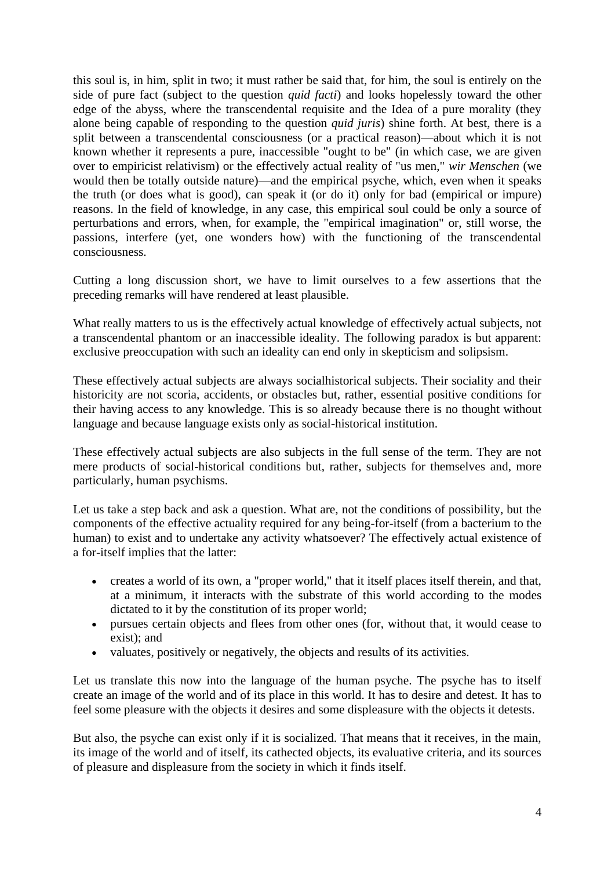this soul is, in him, split in two; it must rather be said that, for him, the soul is entirely on the side of pure fact (subject to the question *quid facti*) and looks hopelessly toward the other edge of the abyss, where the transcendental requisite and the Idea of a pure morality (they alone being capable of responding to the question *quid juris*) shine forth. At best, there is a split between a transcendental consciousness (or a practical reason)—about which it is not known whether it represents a pure, inaccessible "ought to be" (in which case, we are given over to empiricist relativism) or the effectively actual reality of "us men," *wir Menschen* (we would then be totally outside nature)—and the empirical psyche, which, even when it speaks the truth (or does what is good), can speak it (or do it) only for bad (empirical or impure) reasons. In the field of knowledge, in any case, this empirical soul could be only a source of perturbations and errors, when, for example, the "empirical imagination" or, still worse, the passions, interfere (yet, one wonders how) with the functioning of the transcendental consciousness.

Cutting a long discussion short, we have to limit ourselves to a few assertions that the preceding remarks will have rendered at least plausible.

What really matters to us is the effectively actual knowledge of effectively actual subjects, not a transcendental phantom or an inaccessible ideality. The following paradox is but apparent: exclusive preoccupation with such an ideality can end only in skepticism and solipsism.

These effectively actual subjects are always socialhistorical subjects. Their sociality and their historicity are not scoria, accidents, or obstacles but, rather, essential positive conditions for their having access to any knowledge. This is so already because there is no thought without language and because language exists only as social-historical institution.

These effectively actual subjects are also subjects in the full sense of the term. They are not mere products of social-historical conditions but, rather, subjects for themselves and, more particularly, human psychisms.

Let us take a step back and ask a question. What are, not the conditions of possibility, but the components of the effective actuality required for any being-for-itself (from a bacterium to the human) to exist and to undertake any activity whatsoever? The effectively actual existence of a for-itself implies that the latter:

- creates a world of its own, a "proper world," that it itself places itself therein, and that, at a minimum, it interacts with the substrate of this world according to the modes dictated to it by the constitution of its proper world;
- pursues certain objects and flees from other ones (for, without that, it would cease to exist); and
- valuates, positively or negatively, the objects and results of its activities.

Let us translate this now into the language of the human psyche. The psyche has to itself create an image of the world and of its place in this world. It has to desire and detest. It has to feel some pleasure with the objects it desires and some displeasure with the objects it detests.

But also, the psyche can exist only if it is socialized. That means that it receives, in the main, its image of the world and of itself, its cathected objects, its evaluative criteria, and its sources of pleasure and displeasure from the society in which it finds itself.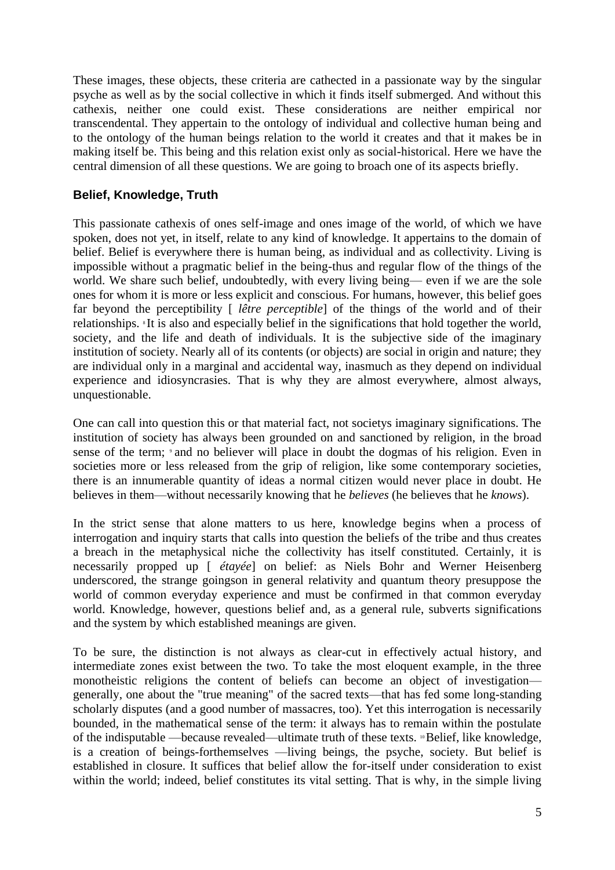These images, these objects, these criteria are cathected in a passionate way by the singular psyche as well as by the social collective in which it finds itself submerged. And without this cathexis, neither one could exist. These considerations are neither empirical nor transcendental. They appertain to the ontology of individual and collective human being and to the ontology of the human beings relation to the world it creates and that it makes be in making itself be. This being and this relation exist only as social-historical. Here we have the central dimension of all these questions. We are going to broach one of its aspects briefly.

# **Belief, Knowledge, Truth**

This passionate cathexis of ones self-image and ones image of the world, of which we have spoken, does not yet, in itself, relate to any kind of knowledge. It appertains to the domain of belief. Belief is everywhere there is human being, as individual and as collectivity. Living is impossible without a pragmatic belief in the being-thus and regular flow of the things of the world. We share such belief, undoubtedly, with every living being— even if we are the sole ones for whom it is more or less explicit and conscious. For humans, however, this belief goes far beyond the perceptibility [ *lêtre perceptible*] of the things of the world and of their relationships. 8 It is also and especially belief in the significations that hold together the world, society, and the life and death of individuals. It is the subjective side of the imaginary institution of society. Nearly all of its contents (or objects) are social in origin and nature; they are individual only in a marginal and accidental way, inasmuch as they depend on individual experience and idiosyncrasies. That is why they are almost everywhere, almost always, unquestionable.

One can call into question this or that material fact, not societys imaginary significations. The institution of society has always been grounded on and sanctioned by religion, in the broad sense of the term;  $\theta$  and no believer will place in doubt the dogmas of his religion. Even in societies more or less released from the grip of religion, like some contemporary societies, there is an innumerable quantity of ideas a normal citizen would never place in doubt. He believes in them—without necessarily knowing that he *believes* (he believes that he *knows*).

In the strict sense that alone matters to us here, knowledge begins when a process of interrogation and inquiry starts that calls into question the beliefs of the tribe and thus creates a breach in the metaphysical niche the collectivity has itself constituted. Certainly, it is necessarily propped up [ *étayée*] on belief: as Niels Bohr and Werner Heisenberg underscored, the strange goingson in general relativity and quantum theory presuppose the world of common everyday experience and must be confirmed in that common everyday world. Knowledge, however, questions belief and, as a general rule, subverts significations and the system by which established meanings are given.

To be sure, the distinction is not always as clear-cut in effectively actual history, and intermediate zones exist between the two. To take the most eloquent example, in the three monotheistic religions the content of beliefs can become an object of investigation generally, one about the "true meaning" of the sacred texts—that has fed some long-standing scholarly disputes (and a good number of massacres, too). Yet this interrogation is necessarily bounded, in the mathematical sense of the term: it always has to remain within the postulate of the indisputable —because revealed—ultimate truth of these texts. 10 Belief, like knowledge, is a creation of beings-forthemselves —living beings, the psyche, society. But belief is established in closure. It suffices that belief allow the for-itself under consideration to exist within the world; indeed, belief constitutes its vital setting. That is why, in the simple living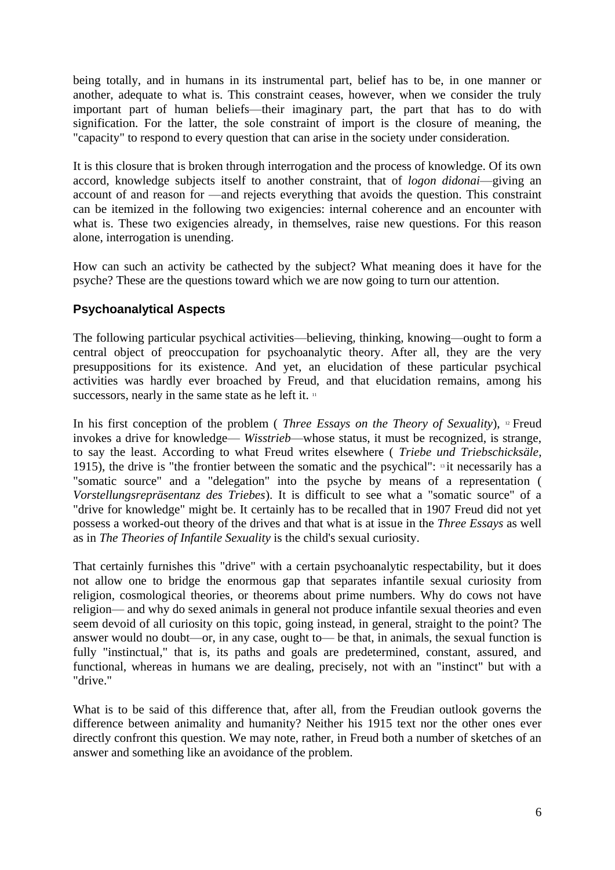being totally, and in humans in its instrumental part, belief has to be, in one manner or another, adequate to what is. This constraint ceases, however, when we consider the truly important part of human beliefs—their imaginary part, the part that has to do with signification. For the latter, the sole constraint of import is the closure of meaning, the "capacity" to respond to every question that can arise in the society under consideration.

It is this closure that is broken through interrogation and the process of knowledge. Of its own accord, knowledge subjects itself to another constraint, that of *logon didonai*—giving an account of and reason for —and rejects everything that avoids the question. This constraint can be itemized in the following two exigencies: internal coherence and an encounter with what is. These two exigencies already, in themselves, raise new questions. For this reason alone, interrogation is unending.

How can such an activity be cathected by the subject? What meaning does it have for the psyche? These are the questions toward which we are now going to turn our attention.

#### **Psychoanalytical Aspects**

The following particular psychical activities—believing, thinking, knowing—ought to form a central object of preoccupation for psychoanalytic theory. After all, they are the very presuppositions for its existence. And yet, an elucidation of these particular psychical activities was hardly ever broached by Freud, and that elucidation remains, among his successors, nearly in the same state as he left it. <sup>11</sup>

In his first conception of the problem ( *Three Essays on the Theory of Sexuality*), 12 Freud invokes a drive for knowledge— *Wisstrieb*—whose status, it must be recognized, is strange, to say the least. According to what Freud writes elsewhere ( *Triebe und Triebschicksäle*, 1915), the drive is "the frontier between the somatic and the psychical":  $\frac{13}{11}$  necessarily has a "somatic source" and a "delegation" into the psyche by means of a representation ( *Vorstellungsrepräsentanz des Triebes*). It is difficult to see what a "somatic source" of a "drive for knowledge" might be. It certainly has to be recalled that in 1907 Freud did not yet possess a worked-out theory of the drives and that what is at issue in the *Three Essays* as well as in *The Theories of Infantile Sexuality* is the child's sexual curiosity.

That certainly furnishes this "drive" with a certain psychoanalytic respectability, but it does not allow one to bridge the enormous gap that separates infantile sexual curiosity from religion, cosmological theories, or theorems about prime numbers. Why do cows not have religion— and why do sexed animals in general not produce infantile sexual theories and even seem devoid of all curiosity on this topic, going instead, in general, straight to the point? The answer would no doubt—or, in any case, ought to— be that, in animals, the sexual function is fully "instinctual," that is, its paths and goals are predetermined, constant, assured, and functional, whereas in humans we are dealing, precisely, not with an "instinct" but with a "drive."

What is to be said of this difference that, after all, from the Freudian outlook governs the difference between animality and humanity? Neither his 1915 text nor the other ones ever directly confront this question. We may note, rather, in Freud both a number of sketches of an answer and something like an avoidance of the problem.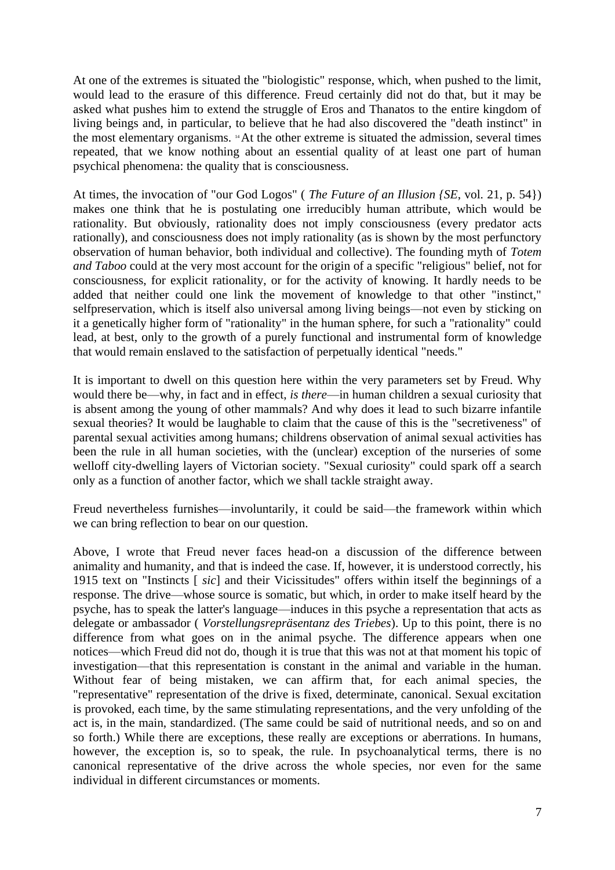At one of the extremes is situated the "biologistic" response, which, when pushed to the limit, would lead to the erasure of this difference. Freud certainly did not do that, but it may be asked what pushes him to extend the struggle of Eros and Thanatos to the entire kingdom of living beings and, in particular, to believe that he had also discovered the "death instinct" in the most elementary organisms. 14 At the other extreme is situated the admission, several times repeated, that we know nothing about an essential quality of at least one part of human psychical phenomena: the quality that is consciousness.

At times, the invocation of "our God Logos" ( *The Future of an Illusion {SE*, vol. 21, p. 54}) makes one think that he is postulating one irreducibly human attribute, which would be rationality. But obviously, rationality does not imply consciousness (every predator acts rationally), and consciousness does not imply rationality (as is shown by the most perfunctory observation of human behavior, both individual and collective). The founding myth of *Totem and Taboo* could at the very most account for the origin of a specific "religious" belief, not for consciousness, for explicit rationality, or for the activity of knowing. It hardly needs to be added that neither could one link the movement of knowledge to that other "instinct," selfpreservation, which is itself also universal among living beings—not even by sticking on it a genetically higher form of "rationality" in the human sphere, for such a "rationality" could lead, at best, only to the growth of a purely functional and instrumental form of knowledge that would remain enslaved to the satisfaction of perpetually identical "needs."

It is important to dwell on this question here within the very parameters set by Freud. Why would there be—why, in fact and in effect, *is there*—in human children a sexual curiosity that is absent among the young of other mammals? And why does it lead to such bizarre infantile sexual theories? It would be laughable to claim that the cause of this is the "secretiveness" of parental sexual activities among humans; childrens observation of animal sexual activities has been the rule in all human societies, with the (unclear) exception of the nurseries of some welloff city-dwelling layers of Victorian society. "Sexual curiosity" could spark off a search only as a function of another factor, which we shall tackle straight away.

Freud nevertheless furnishes—involuntarily, it could be said—the framework within which we can bring reflection to bear on our question.

Above, I wrote that Freud never faces head-on a discussion of the difference between animality and humanity, and that is indeed the case. If, however, it is understood correctly, his 1915 text on "Instincts [ *sic*] and their Vicissitudes" offers within itself the beginnings of a response. The drive—whose source is somatic, but which, in order to make itself heard by the psyche, has to speak the latter's language—induces in this psyche a representation that acts as delegate or ambassador ( *Vorstellungsrepräsentanz des Triebes*). Up to this point, there is no difference from what goes on in the animal psyche. The difference appears when one notices—which Freud did not do, though it is true that this was not at that moment his topic of investigation—that this representation is constant in the animal and variable in the human. Without fear of being mistaken, we can affirm that, for each animal species, the "representative" representation of the drive is fixed, determinate, canonical. Sexual excitation is provoked, each time, by the same stimulating representations, and the very unfolding of the act is, in the main, standardized. (The same could be said of nutritional needs, and so on and so forth.) While there are exceptions, these really are exceptions or aberrations. In humans, however, the exception is, so to speak, the rule. In psychoanalytical terms, there is no canonical representative of the drive across the whole species, nor even for the same individual in different circumstances or moments.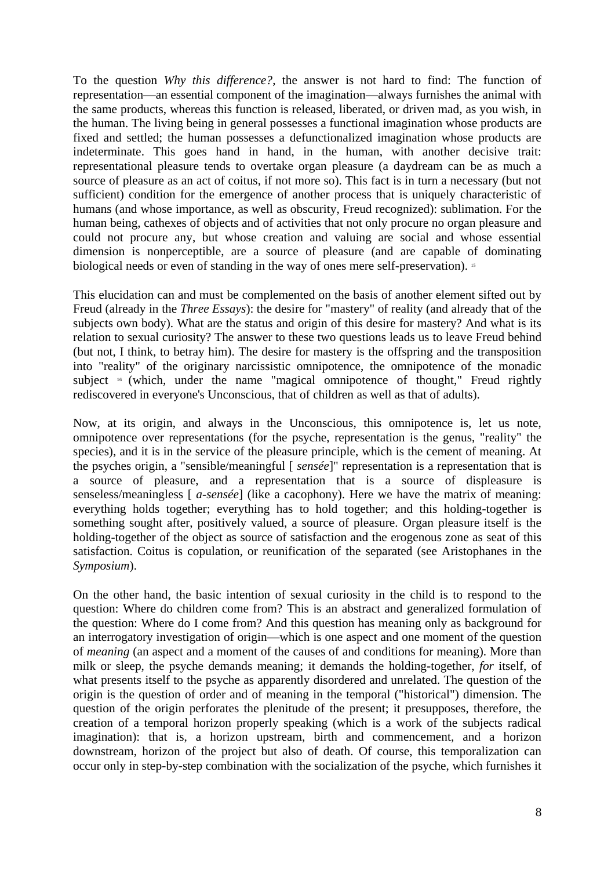To the question *Why this difference?*, the answer is not hard to find: The function of representation—an essential component of the imagination—always furnishes the animal with the same products, whereas this function is released, liberated, or driven mad, as you wish, in the human. The living being in general possesses a functional imagination whose products are fixed and settled; the human possesses a defunctionalized imagination whose products are indeterminate. This goes hand in hand, in the human, with another decisive trait: representational pleasure tends to overtake organ pleasure (a daydream can be as much a source of pleasure as an act of coitus, if not more so). This fact is in turn a necessary (but not sufficient) condition for the emergence of another process that is uniquely characteristic of humans (and whose importance, as well as obscurity, Freud recognized): sublimation. For the human being, cathexes of objects and of activities that not only procure no organ pleasure and could not procure any, but whose creation and valuing are social and whose essential dimension is nonperceptible, are a source of pleasure (and are capable of dominating biological needs or even of standing in the way of ones mere self-preservation). <sup>15</sup>

This elucidation can and must be complemented on the basis of another element sifted out by Freud (already in the *Three Essays*): the desire for "mastery" of reality (and already that of the subjects own body). What are the status and origin of this desire for mastery? And what is its relation to sexual curiosity? The answer to these two questions leads us to leave Freud behind (but not, I think, to betray him). The desire for mastery is the offspring and the transposition into "reality" of the originary narcissistic omnipotence, the omnipotence of the monadic subject  $\frac{16}{16}$  (which, under the name "magical omnipotence of thought," Freud rightly rediscovered in everyone's Unconscious, that of children as well as that of adults).

Now, at its origin, and always in the Unconscious, this omnipotence is, let us note, omnipotence over representations (for the psyche, representation is the genus, "reality" the species), and it is in the service of the pleasure principle, which is the cement of meaning. At the psyches origin, a "sensible/meaningful [ *sensée*]" representation is a representation that is a source of pleasure, and a representation that is a source of displeasure is senseless/meaningless [ *a-sensée*] (like a cacophony). Here we have the matrix of meaning: everything holds together; everything has to hold together; and this holding-together is something sought after, positively valued, a source of pleasure. Organ pleasure itself is the holding-together of the object as source of satisfaction and the erogenous zone as seat of this satisfaction. Coitus is copulation, or reunification of the separated (see Aristophanes in the *Symposium*).

On the other hand, the basic intention of sexual curiosity in the child is to respond to the question: Where do children come from? This is an abstract and generalized formulation of the question: Where do I come from? And this question has meaning only as background for an interrogatory investigation of origin—which is one aspect and one moment of the question of *meaning* (an aspect and a moment of the causes of and conditions for meaning). More than milk or sleep, the psyche demands meaning; it demands the holding-together, *for* itself, of what presents itself to the psyche as apparently disordered and unrelated. The question of the origin is the question of order and of meaning in the temporal ("historical") dimension. The question of the origin perforates the plenitude of the present; it presupposes, therefore, the creation of a temporal horizon properly speaking (which is a work of the subjects radical imagination): that is, a horizon upstream, birth and commencement, and a horizon downstream, horizon of the project but also of death. Of course, this temporalization can occur only in step-by-step combination with the socialization of the psyche, which furnishes it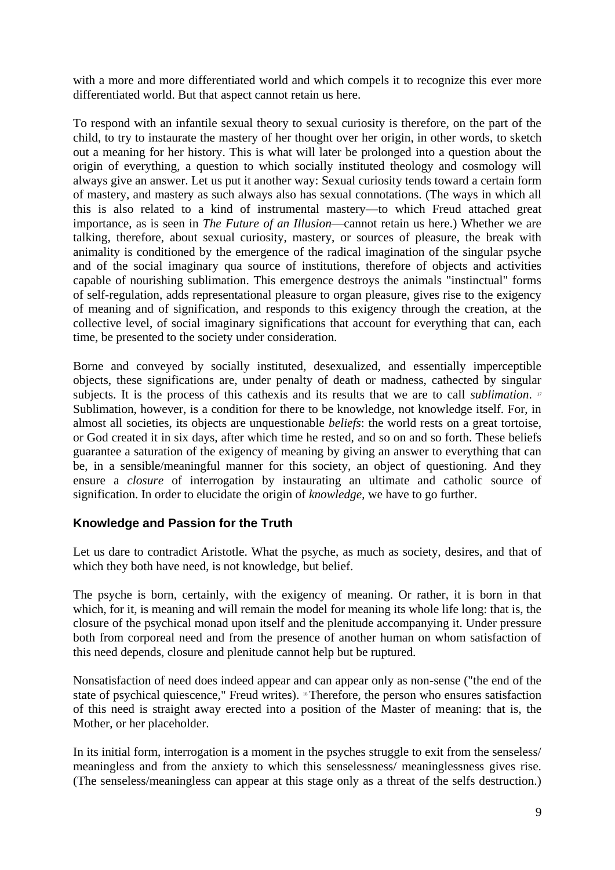with a more and more differentiated world and which compels it to recognize this ever more differentiated world. But that aspect cannot retain us here.

To respond with an infantile sexual theory to sexual curiosity is therefore, on the part of the child, to try to instaurate the mastery of her thought over her origin, in other words, to sketch out a meaning for her history. This is what will later be prolonged into a question about the origin of everything, a question to which socially instituted theology and cosmology will always give an answer. Let us put it another way: Sexual curiosity tends toward a certain form of mastery, and mastery as such always also has sexual connotations. (The ways in which all this is also related to a kind of instrumental mastery—to which Freud attached great importance, as is seen in *The Future of an Illusion*—cannot retain us here.) Whether we are talking, therefore, about sexual curiosity, mastery, or sources of pleasure, the break with animality is conditioned by the emergence of the radical imagination of the singular psyche and of the social imaginary qua source of institutions, therefore of objects and activities capable of nourishing sublimation. This emergence destroys the animals "instinctual" forms of self-regulation, adds representational pleasure to organ pleasure, gives rise to the exigency of meaning and of signification, and responds to this exigency through the creation, at the collective level, of social imaginary significations that account for everything that can, each time, be presented to the society under consideration.

Borne and conveyed by socially instituted, desexualized, and essentially imperceptible objects, these significations are, under penalty of death or madness, cathected by singular subjects. It is the process of this cathexis and its results that we are to call *sublimation*. 17 Sublimation, however, is a condition for there to be knowledge, not knowledge itself. For, in almost all societies, its objects are unquestionable *beliefs*: the world rests on a great tortoise, or God created it in six days, after which time he rested, and so on and so forth. These beliefs guarantee a saturation of the exigency of meaning by giving an answer to everything that can be, in a sensible/meaningful manner for this society, an object of questioning. And they ensure a *closure* of interrogation by instaurating an ultimate and catholic source of signification. In order to elucidate the origin of *knowledge*, we have to go further.

# **Knowledge and Passion for the Truth**

Let us dare to contradict Aristotle. What the psyche, as much as society, desires, and that of which they both have need, is not knowledge, but belief.

The psyche is born, certainly, with the exigency of meaning. Or rather, it is born in that which, for it, is meaning and will remain the model for meaning its whole life long: that is, the closure of the psychical monad upon itself and the plenitude accompanying it. Under pressure both from corporeal need and from the presence of another human on whom satisfaction of this need depends, closure and plenitude cannot help but be ruptured.

Nonsatisfaction of need does indeed appear and can appear only as non-sense ("the end of the state of psychical quiescence," Freud writes). 18 Therefore, the person who ensures satisfaction of this need is straight away erected into a position of the Master of meaning: that is, the Mother, or her placeholder.

In its initial form, interrogation is a moment in the psyches struggle to exit from the senseless/ meaningless and from the anxiety to which this senselessness/ meaninglessness gives rise. (The senseless/meaningless can appear at this stage only as a threat of the selfs destruction.)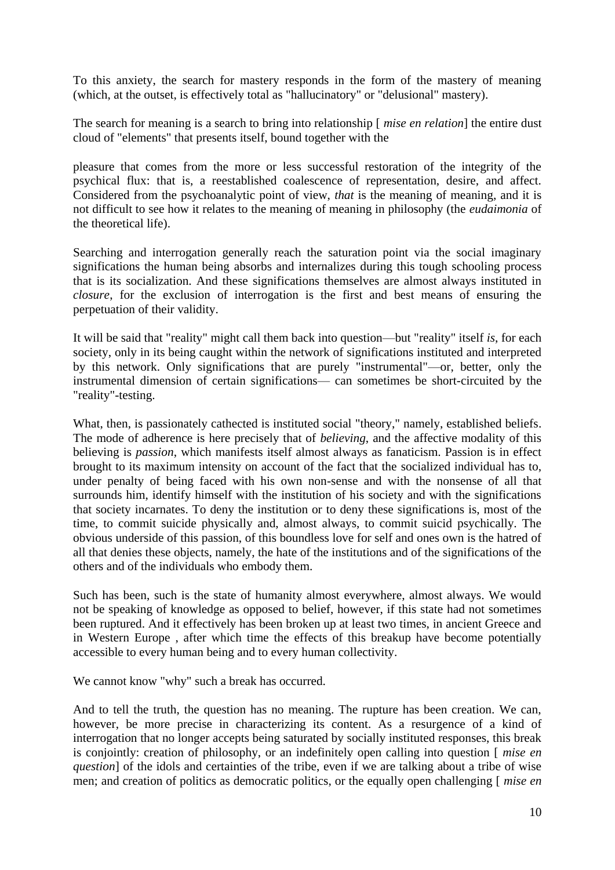To this anxiety, the search for mastery responds in the form of the mastery of meaning (which, at the outset, is effectively total as "hallucinatory" or "delusional" mastery).

The search for meaning is a search to bring into relationship [ *mise en relation*] the entire dust cloud of "elements" that presents itself, bound together with the

pleasure that comes from the more or less successful restoration of the integrity of the psychical flux: that is, a reestablished coalescence of representation, desire, and affect. Considered from the psychoanalytic point of view, *that* is the meaning of meaning, and it is not difficult to see how it relates to the meaning of meaning in philosophy (the *eudaimonia* of the theoretical life).

Searching and interrogation generally reach the saturation point via the social imaginary significations the human being absorbs and internalizes during this tough schooling process that is its socialization. And these significations themselves are almost always instituted in *closure*, for the exclusion of interrogation is the first and best means of ensuring the perpetuation of their validity.

It will be said that "reality" might call them back into question—but "reality" itself *is*, for each society, only in its being caught within the network of significations instituted and interpreted by this network. Only significations that are purely "instrumental"—or, better, only the instrumental dimension of certain significations— can sometimes be short-circuited by the "reality"-testing.

What, then, is passionately cathected is instituted social "theory," namely, established beliefs. The mode of adherence is here precisely that of *believing*, and the affective modality of this believing is *passion*, which manifests itself almost always as fanaticism. Passion is in effect brought to its maximum intensity on account of the fact that the socialized individual has to, under penalty of being faced with his own non-sense and with the nonsense of all that surrounds him, identify himself with the institution of his society and with the significations that society incarnates. To deny the institution or to deny these significations is, most of the time, to commit suicide physically and, almost always, to commit suicid psychically. The obvious underside of this passion, of this boundless love for self and ones own is the hatred of all that denies these objects, namely, the hate of the institutions and of the significations of the others and of the individuals who embody them.

Such has been, such is the state of humanity almost everywhere, almost always. We would not be speaking of knowledge as opposed to belief, however, if this state had not sometimes been ruptured. And it effectively has been broken up at least two times, in ancient Greece and in Western Europe , after which time the effects of this breakup have become potentially accessible to every human being and to every human collectivity.

We cannot know "why" such a break has occurred.

And to tell the truth, the question has no meaning. The rupture has been creation. We can, however, be more precise in characterizing its content. As a resurgence of a kind of interrogation that no longer accepts being saturated by socially instituted responses, this break is conjointly: creation of philosophy, or an indefinitely open calling into question [ *mise en question*] of the idols and certainties of the tribe, even if we are talking about a tribe of wise men; and creation of politics as democratic politics, or the equally open challenging [ *mise en*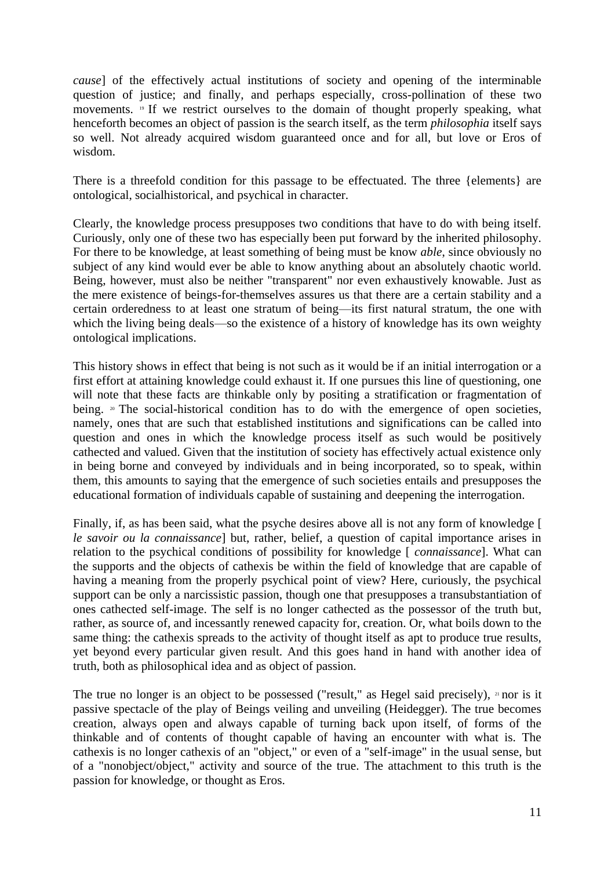*cause*] of the effectively actual institutions of society and opening of the interminable question of justice; and finally, and perhaps especially, cross-pollination of these two movements. 19 If we restrict ourselves to the domain of thought properly speaking, what henceforth becomes an object of passion is the search itself, as the term *philosophia* itself says so well. Not already acquired wisdom guaranteed once and for all, but love or Eros of wisdom.

There is a threefold condition for this passage to be effectuated. The three {elements} are ontological, socialhistorical, and psychical in character.

Clearly, the knowledge process presupposes two conditions that have to do with being itself. Curiously, only one of these two has especially been put forward by the inherited philosophy. For there to be knowledge, at least something of being must be know *able*, since obviously no subject of any kind would ever be able to know anything about an absolutely chaotic world. Being, however, must also be neither "transparent" nor even exhaustively knowable. Just as the mere existence of beings-for-themselves assures us that there are a certain stability and a certain orderedness to at least one stratum of being—its first natural stratum, the one with which the living being deals—so the existence of a history of knowledge has its own weighty ontological implications.

This history shows in effect that being is not such as it would be if an initial interrogation or a first effort at attaining knowledge could exhaust it. If one pursues this line of questioning, one will note that these facts are thinkable only by positing a stratification or fragmentation of being.  $20$  The social-historical condition has to do with the emergence of open societies, namely, ones that are such that established institutions and significations can be called into question and ones in which the knowledge process itself as such would be positively cathected and valued. Given that the institution of society has effectively actual existence only in being borne and conveyed by individuals and in being incorporated, so to speak, within them, this amounts to saying that the emergence of such societies entails and presupposes the educational formation of individuals capable of sustaining and deepening the interrogation.

Finally, if, as has been said, what the psyche desires above all is not any form of knowledge [ *le savoir ou la connaissance*] but, rather, belief, a question of capital importance arises in relation to the psychical conditions of possibility for knowledge [ *connaissance*]. What can the supports and the objects of cathexis be within the field of knowledge that are capable of having a meaning from the properly psychical point of view? Here, curiously, the psychical support can be only a narcissistic passion, though one that presupposes a transubstantiation of ones cathected self-image. The self is no longer cathected as the possessor of the truth but, rather, as source of, and incessantly renewed capacity for, creation. Or, what boils down to the same thing: the cathexis spreads to the activity of thought itself as apt to produce true results, yet beyond every particular given result. And this goes hand in hand with another idea of truth, both as philosophical idea and as object of passion.

The true no longer is an object to be possessed ("result," as Hegel said precisely),  $\alpha$  nor is it passive spectacle of the play of Beings veiling and unveiling (Heidegger). The true becomes creation, always open and always capable of turning back upon itself, of forms of the thinkable and of contents of thought capable of having an encounter with what is. The cathexis is no longer cathexis of an "object," or even of a "self-image" in the usual sense, but of a "nonobject/object," activity and source of the true. The attachment to this truth is the passion for knowledge, or thought as Eros.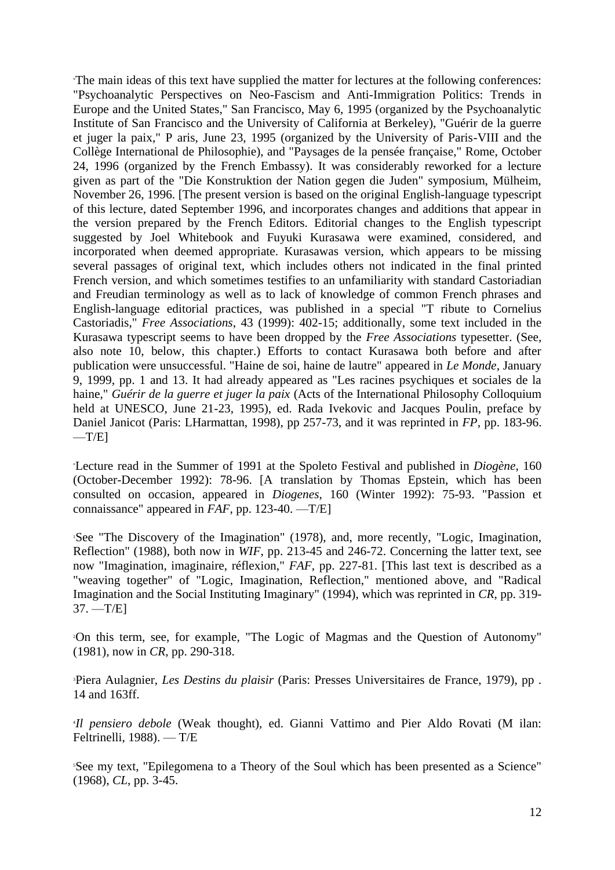\*The main ideas of this text have supplied the matter for lectures at the following conferences: "Psychoanalytic Perspectives on Neo-Fascism and Anti-Immigration Politics: Trends in Europe and the United States," San Francisco, May 6, 1995 (organized by the Psychoanalytic Institute of San Francisco and the University of California at Berkeley), "Guérir de la guerre et juger la paix," P aris, June 23, 1995 (organized by the University of Paris-VIII and the Collège International de Philosophie), and "Paysages de la pensée française," Rome, October 24, 1996 (organized by the French Embassy). It was considerably reworked for a lecture given as part of the "Die Konstruktion der Nation gegen die Juden" symposium, Mülheim, November 26, 1996. [The present version is based on the original English-language typescript of this lecture, dated September 1996, and incorporates changes and additions that appear in the version prepared by the French Editors. Editorial changes to the English typescript suggested by Joel Whitebook and Fuyuki Kurasawa were examined, considered, and incorporated when deemed appropriate. Kurasawas version, which appears to be missing several passages of original text, which includes others not indicated in the final printed French version, and which sometimes testifies to an unfamiliarity with standard Castoriadian and Freudian terminology as well as to lack of knowledge of common French phrases and English-language editorial practices, was published in a special "T ribute to Cornelius Castoriadis," *Free Associations*, 43 (1999): 402-15; additionally, some text included in the Kurasawa typescript seems to have been dropped by the *Free Associations* typesetter. (See, also note 10, below, this chapter.) Efforts to contact Kurasawa both before and after publication were unsuccessful. "Haine de soi, haine de lautre" appeared in *Le Monde*, January 9, 1999, pp. 1 and 13. It had already appeared as "Les racines psychiques et sociales de la haine," *Guérir de la guerre et juger la paix* (Acts of the International Philosophy Colloquium held at UNESCO, June 21-23, 1995), ed. Rada Ivekovic and Jacques Poulin, preface by Daniel Janicot (Paris: LHarmattan, 1998), pp 257-73, and it was reprinted in *FP*, pp. 183-96.  $-T/E$ ]

\*Lecture read in the Summer of 1991 at the Spoleto Festival and published in *Diogène*, 160 (October-December 1992): 78-96. [A translation by Thomas Epstein, which has been consulted on occasion, appeared in *Diogenes*, 160 (Winter 1992): 75-93. "Passion et connaissance" appeared in *FAF*, pp. 123-40. —T/E]

<sup>1</sup>See "The Discovery of the Imagination" (1978), and, more recently, "Logic, Imagination, Reflection" (1988), both now in *WIF*, pp. 213-45 and 246-72. Concerning the latter text, see now "Imagination, imaginaire, réflexion," *FAF*, pp. 227-81. [This last text is described as a "weaving together" of "Logic, Imagination, Reflection," mentioned above, and "Radical Imagination and the Social Instituting Imaginary" (1994), which was reprinted in *CR*, pp. 319- 37. —T/E]

<sup>2</sup>On this term, see, for example, "The Logic of Magmas and the Question of Autonomy" (1981), now in *CR*, pp. 290-318.

<sup>3</sup>Piera Aulagnier, *Les Destins du plaisir* (Paris: Presses Universitaires de France, 1979), pp . 14 and 163ff.

4 *Il pensiero debole* (Weak thought), ed. Gianni Vattimo and Pier Aldo Rovati (M ilan: Feltrinelli, 1988). — T/E

<sup>5</sup>See my text, "Epilegomena to a Theory of the Soul which has been presented as a Science" (1968), *CL*, pp. 3-45.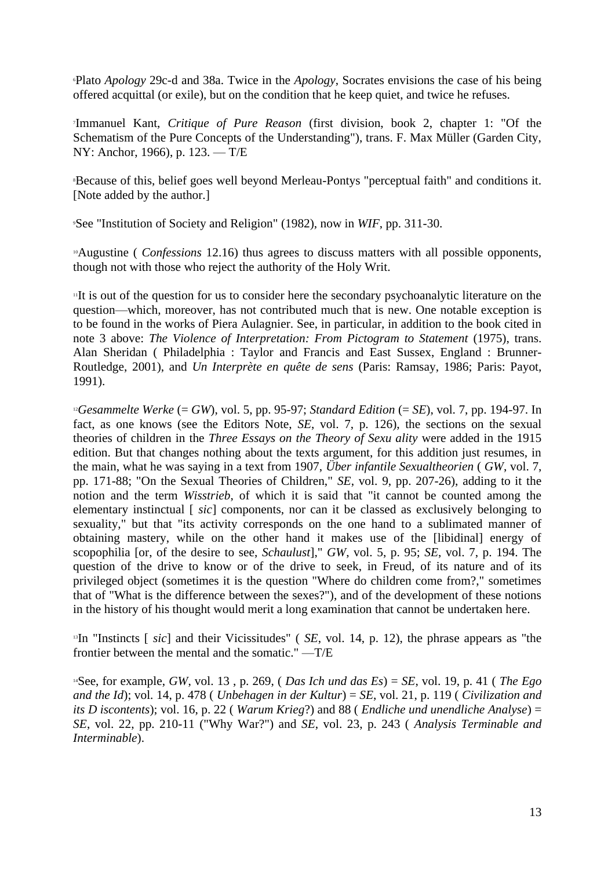<sup>6</sup>Plato *Apology* 29c-d and 38a. Twice in the *Apology*, Socrates envisions the case of his being offered acquittal (or exile), but on the condition that he keep quiet, and twice he refuses.

7 Immanuel Kant, *Critique of Pure Reason* (first division, book 2, chapter 1: "Of the Schematism of the Pure Concepts of the Understanding"), trans. F. Max Müller (Garden City, NY: Anchor, 1966), p. 123. — T/E

<sup>8</sup>Because of this, belief goes well beyond Merleau-Pontys "perceptual faith" and conditions it. [Note added by the author.]

<sup>9</sup>See "Institution of Society and Religion" (1982), now in *WIF*, pp. 311-30.

<sup>10</sup>Augustine (*Confessions* 12.16) thus agrees to discuss matters with all possible opponents, though not with those who reject the authority of the Holy Writ.

<sup>11</sup>It is out of the question for us to consider here the secondary psychoanalytic literature on the question—which, moreover, has not contributed much that is new. One notable exception is to be found in the works of Piera Aulagnier. See, in particular, in addition to the book cited in note 3 above: *The Violence of Interpretation: From Pictogram to Statement* (1975), trans. Alan Sheridan ( Philadelphia : Taylor and Francis and East Sussex, England : Brunner-Routledge, 2001), and *Un Interprète en quête de sens* (Paris: Ramsay, 1986; Paris: Payot, 1991).

<sup>12</sup>*Gesammelte Werke* (= *GW*), vol. 5, pp. 95-97; *Standard Edition* (= *SE*), vol. 7, pp. 194-97. In fact, as one knows (see the Editors Note, *SE*, vol. 7, p. 126), the sections on the sexual theories of children in the *Three Essays on the Theory of Sexu ality* were added in the 1915 edition. But that changes nothing about the texts argument, for this addition just resumes, in the main, what he was saying in a text from 1907, *Über infantile Sexualtheorien* ( *GW*, vol. 7, pp. 171-88; "On the Sexual Theories of Children," *SE*, vol. 9, pp. 207-26), adding to it the notion and the term *Wisstrieb*, of which it is said that "it cannot be counted among the elementary instinctual [ *sic*] components, nor can it be classed as exclusively belonging to sexuality," but that "its activity corresponds on the one hand to a sublimated manner of obtaining mastery, while on the other hand it makes use of the [libidinal] energy of scopophilia [or, of the desire to see, *Schaulust*]," *GW*, vol. 5, p. 95; *SE*, vol. 7, p. 194. The question of the drive to know or of the drive to seek, in Freud, of its nature and of its privileged object (sometimes it is the question "Where do children come from?," sometimes that of "What is the difference between the sexes?"), and of the development of these notions in the history of his thought would merit a long examination that cannot be undertaken here.

<sup>13</sup>In "Instincts [ *sic*] and their Vicissitudes" ( *SE*, vol. 14, p. 12), the phrase appears as "the frontier between the mental and the somatic." —T/E

<sup>14</sup>See, for example, *GW*, vol. 13 , p. 269, ( *Das Ich und das Es*) = *SE*, vol. 19, p. 41 ( *The Ego and the Id*); vol. 14, p. 478 ( *Unbehagen in der Kultur*) = *SE*, vol. 21, p. 119 ( *Civilization and its D iscontents*); vol. 16, p. 22 ( *Warum Krieg*?) and 88 ( *Endliche und unendliche Analyse*) = *SE*, vol. 22, pp. 210-11 ("Why War?") and *SE*, vol. 23, p. 243 ( *Analysis Terminable and Interminable*).